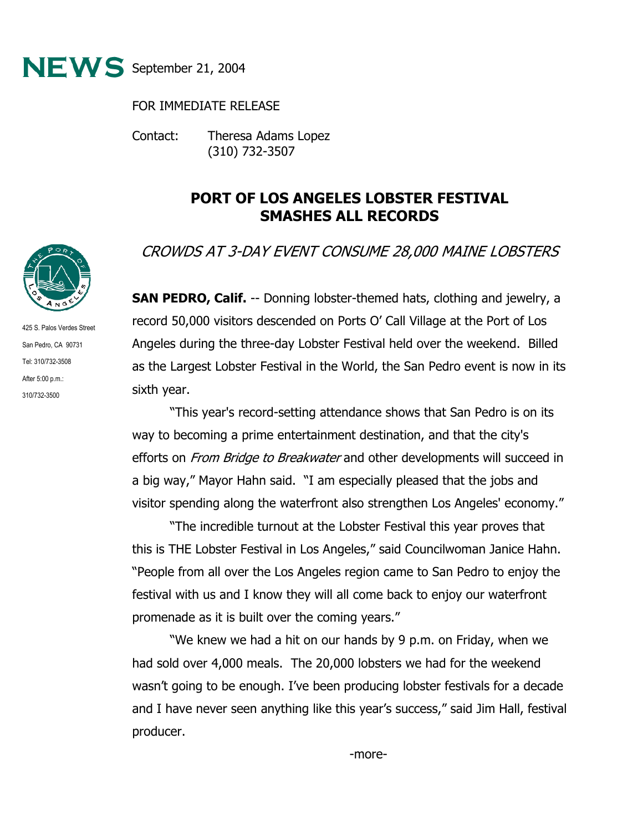

## FOR IMMEDIATE RELEASE

Contact: Theresa Adams Lopez (310) 732-3507

## **PORT OF LOS ANGELES LOBSTER FESTIVAL SMASHES ALL RECORDS**

## CROWDS AT 3-DAY EVENT CONSUME 28,000 MAINE LOBSTERS

**SAN PEDRO, Calif.** -- Donning lobster-themed hats, clothing and jewelry, a record 50,000 visitors descended on Ports O' Call Village at the Port of Los Angeles during the three-day Lobster Festival held over the weekend. Billed as the Largest Lobster Festival in the World, the San Pedro event is now in its sixth year.

"This year's record-setting attendance shows that San Pedro is on its way to becoming a prime entertainment destination, and that the city's efforts on *From Bridge to Breakwater* and other developments will succeed in a big way," Mayor Hahn said. "I am especially pleased that the jobs and visitor spending along the waterfront also strengthen Los Angeles' economy."

 "The incredible turnout at the Lobster Festival this year proves that this is THE Lobster Festival in Los Angeles," said Councilwoman Janice Hahn. "People from all over the Los Angeles region came to San Pedro to enjoy the festival with us and I know they will all come back to enjoy our waterfront promenade as it is built over the coming years."

"We knew we had a hit on our hands by 9 p.m. on Friday, when we had sold over 4,000 meals. The 20,000 lobsters we had for the weekend wasn't going to be enough. I've been producing lobster festivals for a decade and I have never seen anything like this year's success," said Jim Hall, festival producer.



425 S. Palos Verdes Street San Pedro, CA 90731 Tel: 310/732-3508 After 5:00 p.m.: 310/732-3500